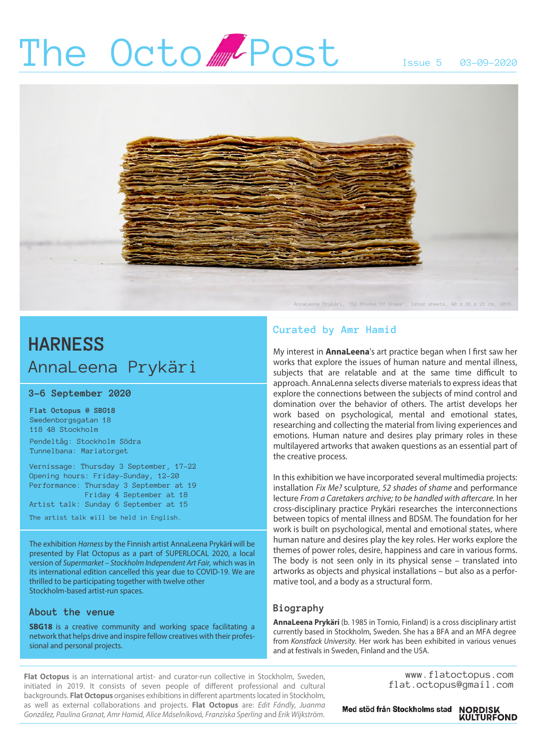# The Octo Post Issue 5 03-09-2020



## **HARNESS** AnnaLeena Prykäri

### **3–6 September 2020**

**Flat Octopus @ SBG18** Swedenborgsgatan 18 118 48 Stockholm

Pendeltåg: Stockholm Södra Tunnelbana: Mariatorget

Vernissage: Thursday 3 September, 17–22 Opening hours: Friday–Sunday, 12–20 Performance: Thursday 3 September at 19 Friday 4 September at 18 Artist talk: Sunday 6 September at 15

The artist talk will be held in English.

The exhibition *Harness* by the Finnish artist AnnaLeena Prykär**i** will be presented by Flat Octopus as a part of SUPERLOCAL 2020, a local version of *Supermarket – Stockholm Independent Art Fair,* which was in its international edition cancelled this year due to COVID-19. We are thrilled to be participating together with twelve other Stockholm-based artist-run spaces.

### **About the venue**

**SBG18** is a creative community and working space facilitating a network that helps drive and inspire fellow creatives with their professional and personal projects.

### **Curated by Amr Hamid**

My interest in **AnnaLeena**'s art practice began when I first saw her works that explore the issues of human nature and mental illness, subjects that are relatable and at the same time difficult to approach. AnnaLenna selects diverse materials to express ideas that explore the connections between the subjects of mind control and domination over the behavior of others. The artist develops her work based on psychological, mental and emotional states, researching and collecting the material from living experiences and emotions. Human nature and desires play primary roles in these multilayered artworks that awaken questions as an essential part of the creative process.

In this exhibition we have incorporated several multimedia projects: installation *Fix Me?* sculpture, *52 shades of shame* and performance lecture *From a Caretakers archive; to be handled with aftercare.* In her cross-disciplinary practice Prykäri researches the interconnections between topics of mental illness and BDSM. The foundation for her work is built on psychological, mental and emotional states, where human nature and desires play the key roles. Her works explore the themes of power roles, desire, happiness and care in various forms. The body is not seen only in its physical sense – translated into artworks as objects and physical installations – but also as a performative tool, and a body as a structural form.

### **Biography**

**AnnaLeena Prykäri** (b. 1985 in Tornio, Finland) is a cross disciplinary artist currently based in Stockholm, Sweden. She has a BFA and an MFA degree from *Konstfack University.* Her work has been exhibited in various venues and at festivals in Sweden, Finland and the USA.

**Flat Octopus** is an international artist- and curator-run collective in Stockholm, Sweden, initiated in 2019. It consists of seven people of different professional and cultural backgrounds. **Flat Octopus** organises exhibitions in different apartments located in Stockholm, as well as external collaborations and projects. **Flat Octopus** are: *Edit Fándly, Juanma González, Paulina Granat, Amr Hamid, Alice Máselníková, Franziska Sperling* and *Erik Wijkström*.

www.flatoctopus.com flat.octopus@gmail.com

Med stöd från Stockholms stad NORDISK<br>KULTURFOND